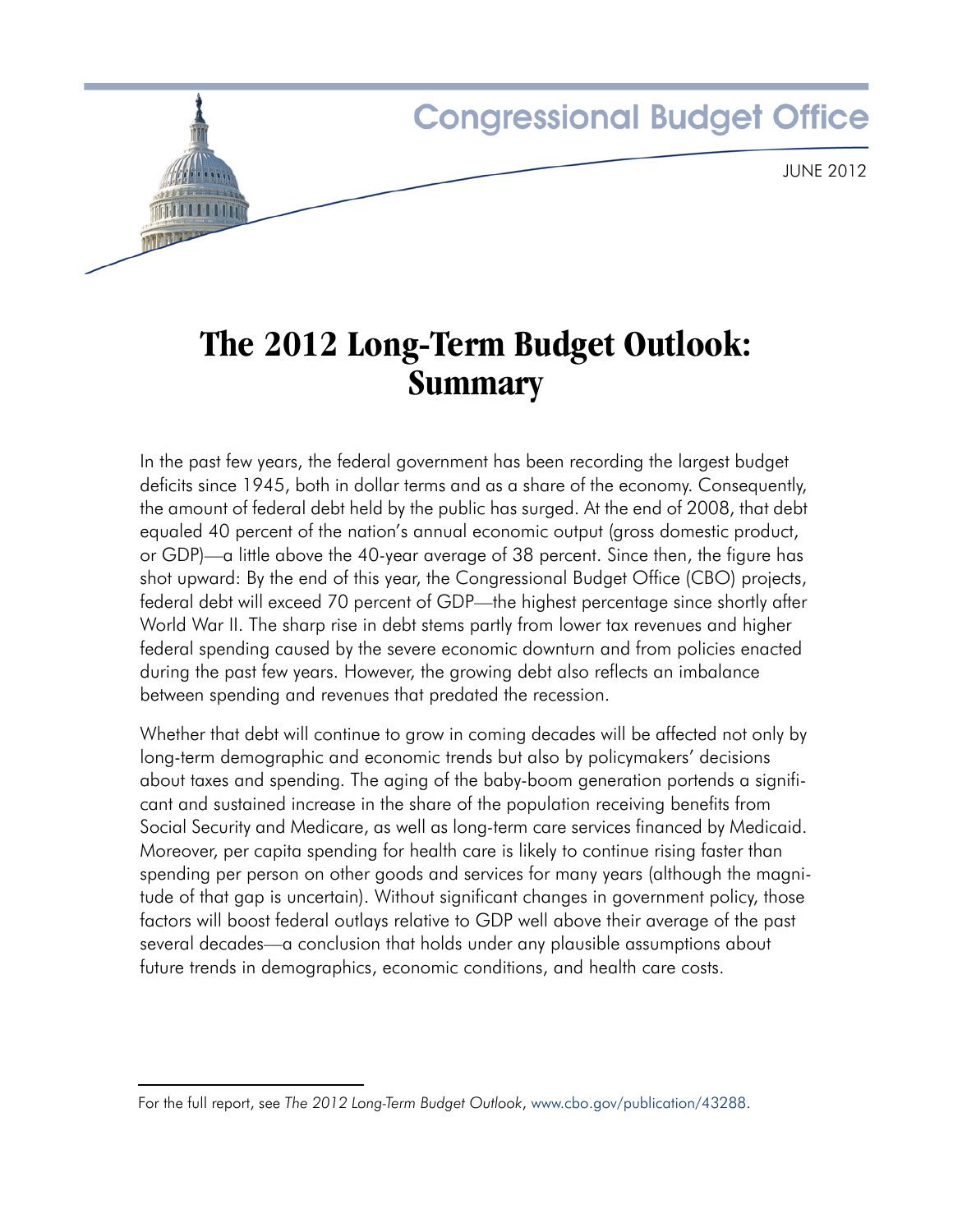

# **The 2012 Long-Term Budget Outlook: Summary**

In the past few years, the federal government has been recording the largest budget deficits since 1945, both in dollar terms and as a share of the economy. Consequently, the amount of federal debt held by the public has surged. At the end of 2008, that debt equaled 40 percent of the nation's annual economic output (gross domestic product, or GDP)—a little above the 40-year average of 38 percent. Since then, the figure has shot upward: By the end of this year, the Congressional Budget Office (CBO) projects, federal debt will exceed 70 percent of GDP—the highest percentage since shortly after World War II. The sharp rise in debt stems partly from lower tax revenues and higher federal spending caused by the severe economic downturn and from policies enacted during the past few years. However, the growing debt also reflects an imbalance between spending and revenues that predated the recession.

Whether that debt will continue to grow in coming decades will be affected not only by long-term demographic and economic trends but also by policymakers' decisions about taxes and spending. The aging of the baby-boom generation portends a significant and sustained increase in the share of the population receiving benefits from Social Security and Medicare, as well as long-term care services financed by Medicaid. Moreover, per capita spending for health care is likely to continue rising faster than spending per person on other goods and services for many years (although the magnitude of that gap is uncertain). Without significant changes in government policy, those factors will boost federal outlays relative to GDP well above their average of the past several decades—a conclusion that holds under any plausible assumptions about future trends in demographics, economic conditions, and health care costs.

For the full report, see *The 2012 Long-Term Budget Outlook*, [www.cbo.gov/publication/43288.](http://www.cbo.gov/publication/43288)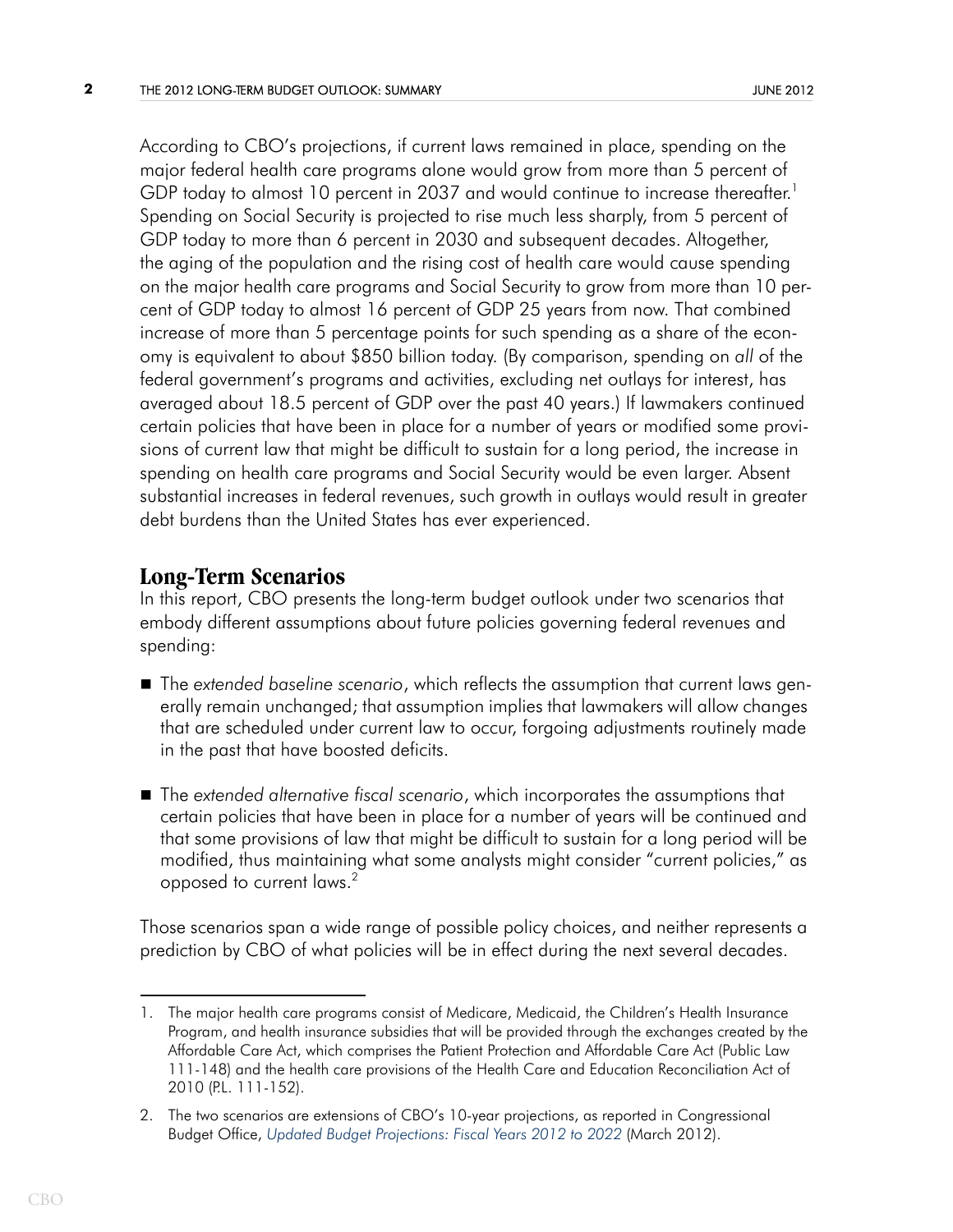According to CBO's projections, if current laws remained in place, spending on the major federal health care programs alone would grow from more than 5 percent of GDP today to almost 10 percent in 2037 and would continue to increase thereafter.<sup>1</sup> Spending on Social Security is projected to rise much less sharply, from 5 percent of GDP today to more than 6 percent in 2030 and subsequent decades. Altogether, the aging of the population and the rising cost of health care would cause spending on the major health care programs and Social Security to grow from more than 10 percent of GDP today to almost 16 percent of GDP 25 years from now. That combined increase of more than 5 percentage points for such spending as a share of the economy is equivalent to about \$850 billion today. (By comparison, spending on *all* of the federal government's programs and activities, excluding net outlays for interest, has averaged about 18.5 percent of GDP over the past 40 years.) If lawmakers continued certain policies that have been in place for a number of years or modified some provisions of current law that might be difficult to sustain for a long period, the increase in spending on health care programs and Social Security would be even larger. Absent substantial increases in federal revenues, such growth in outlays would result in greater debt burdens than the United States has ever experienced.

## **Long-Term Scenarios**

In this report, CBO presents the long-term budget outlook under two scenarios that embody different assumptions about future policies governing federal revenues and spending:

- The *extended baseline scenario*, which reflects the assumption that current laws generally remain unchanged; that assumption implies that lawmakers will allow changes that are scheduled under current law to occur, forgoing adjustments routinely made in the past that have boosted deficits.
- The *extended alternative fiscal scenario*, which incorporates the assumptions that certain policies that have been in place for a number of years will be continued and that some provisions of law that might be difficult to sustain for a long period will be modified, thus maintaining what some analysts might consider "current policies," as opposed to current laws.2

Those scenarios span a wide range of possible policy choices, and neither represents a prediction by CBO of what policies will be in effect during the next several decades.

<sup>1.</sup> The major health care programs consist of Medicare, Medicaid, the Children's Health Insurance Program, and health insurance subsidies that will be provided through the exchanges created by the Affordable Care Act, which comprises the Patient Protection and Affordable Care Act (Public Law 111-148) and the health care provisions of the Health Care and Education Reconciliation Act of 2010 (P.L. 111-152).

<sup>2.</sup> The two scenarios are extensions of CBO's 10-year projections, as reported in Congressional Budget Office, *[Updated Budget Projections: Fiscal Years 2012 to 2022](http://www.cbo.gov/publication/43119)* (March 2012).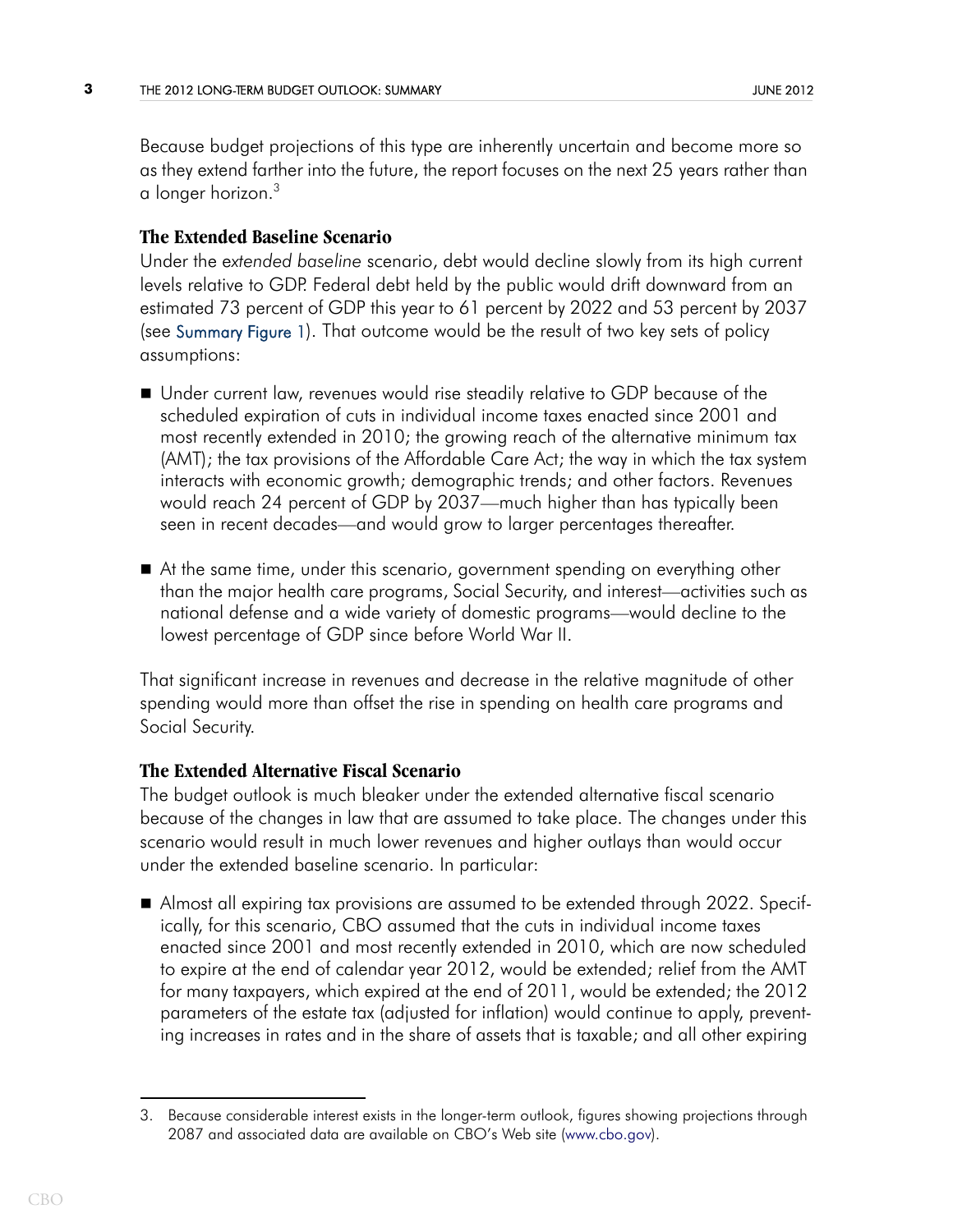Because budget projections of this type are inherently uncertain and become more so as they extend farther into the future, the report focuses on the next 25 years rather than a longer horizon.3

#### **The Extended Baseline Scenario**

<span id="page-2-0"></span>Under the e*xtended baseline* scenario, debt would decline slowly from its high current levels relative to GDP. Federal debt held by the public would drift downward from an estimated 73 percent of GDP this year to 61 percent by 2022 and 53 percent by 2037 (see [Summary Figure 1\)](#page-6-0). That outcome would be the result of two key sets of policy assumptions:

- Under current law, revenues would rise steadily relative to GDP because of the scheduled expiration of cuts in individual income taxes enacted since 2001 and most recently extended in 2010; the growing reach of the alternative minimum tax (AMT); the tax provisions of the Affordable Care Act; the way in which the tax system interacts with economic growth; demographic trends; and other factors. Revenues would reach 24 percent of GDP by 2037—much higher than has typically been seen in recent decades—and would grow to larger percentages thereafter.
- At the same time, under this scenario, government spending on everything other than the major health care programs, Social Security, and interest—activities such as national defense and a wide variety of domestic programs—would decline to the lowest percentage of GDP since before World War II.

That significant increase in revenues and decrease in the relative magnitude of other spending would more than offset the rise in spending on health care programs and Social Security.

#### **The Extended Alternative Fiscal Scenario**

The budget outlook is much bleaker under the extended alternative fiscal scenario because of the changes in law that are assumed to take place. The changes under this scenario would result in much lower revenues and higher outlays than would occur under the extended baseline scenario. In particular:

 Almost all expiring tax provisions are assumed to be extended through 2022. Specifically, for this scenario, CBO assumed that the cuts in individual income taxes enacted since 2001 and most recently extended in 2010, which are now scheduled to expire at the end of calendar year 2012, would be extended; relief from the AMT for many taxpayers, which expired at the end of 2011, would be extended; the 2012 parameters of the estate tax (adjusted for inflation) would continue to apply, preventing increases in rates and in the share of assets that is taxable; and all other expiring

<sup>3.</sup> Because considerable interest exists in the longer-term outlook, figures showing projections through 2087 and associated data are available on CBO's Web site (www.cbo.gov).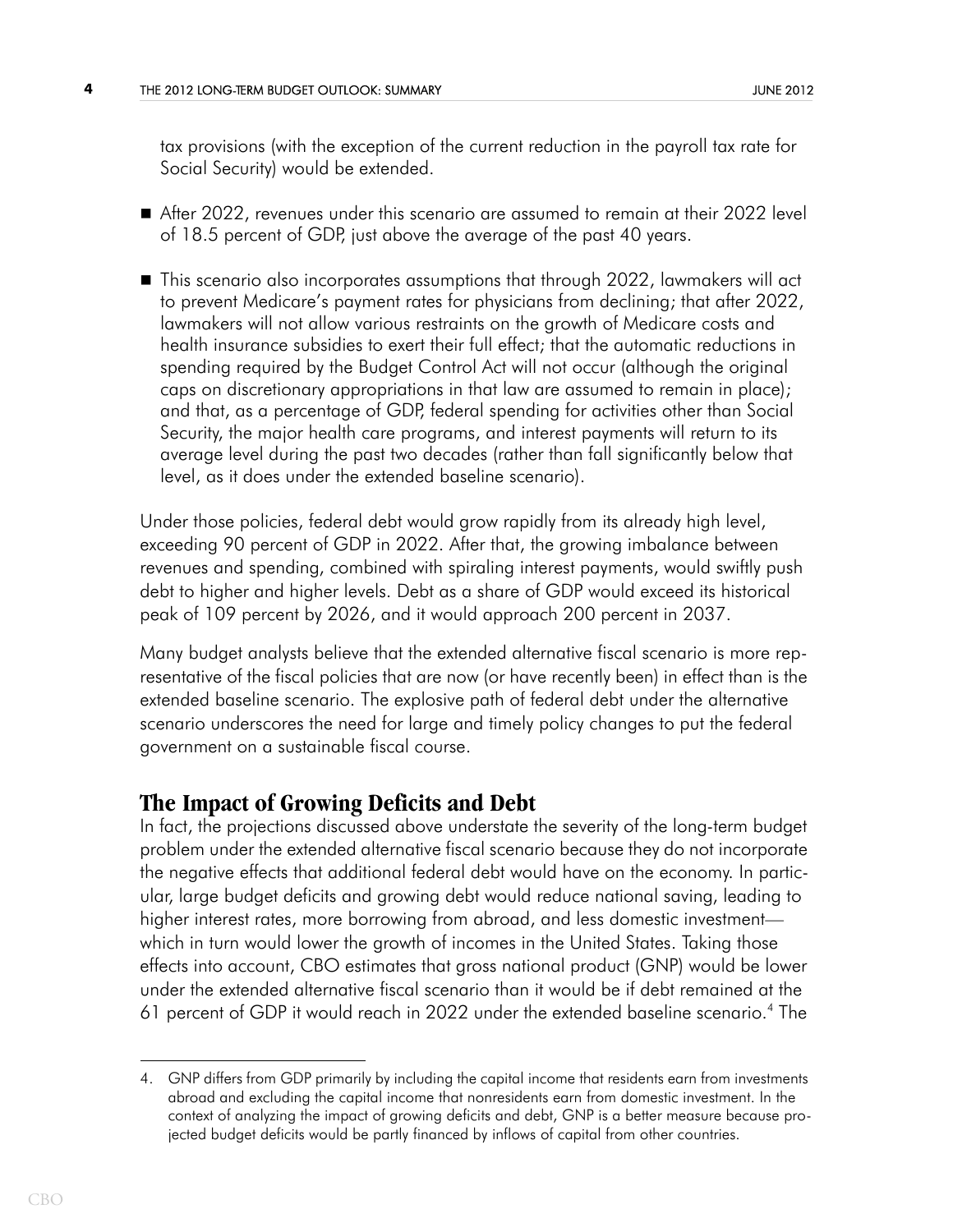tax provisions (with the exception of the current reduction in the payroll tax rate for Social Security) would be extended.

- After 2022, revenues under this scenario are assumed to remain at their 2022 level of 18.5 percent of GDP, just above the average of the past 40 years.
- This scenario also incorporates assumptions that through 2022, lawmakers will act to prevent Medicare's payment rates for physicians from declining; that after 2022, lawmakers will not allow various restraints on the growth of Medicare costs and health insurance subsidies to exert their full effect; that the automatic reductions in spending required by the Budget Control Act will not occur (although the original caps on discretionary appropriations in that law are assumed to remain in place); and that, as a percentage of GDP, federal spending for activities other than Social Security, the major health care programs, and interest payments will return to its average level during the past two decades (rather than fall significantly below that level, as it does under the extended baseline scenario).

Under those policies, federal debt would grow rapidly from its already high level, exceeding 90 percent of GDP in 2022. After that, the growing imbalance between revenues and spending, combined with spiraling interest payments, would swiftly push debt to higher and higher levels. Debt as a share of GDP would exceed its historical peak of 109 percent by 2026, and it would approach 200 percent in 2037.

Many budget analysts believe that the extended alternative fiscal scenario is more representative of the fiscal policies that are now (or have recently been) in effect than is the extended baseline scenario. The explosive path of federal debt under the alternative scenario underscores the need for large and timely policy changes to put the federal government on a sustainable fiscal course.

### **The Impact of Growing Deficits and Debt**

In fact, the projections discussed above understate the severity of the long-term budget problem under the extended alternative fiscal scenario because they do not incorporate the negative effects that additional federal debt would have on the economy. In particular, large budget deficits and growing debt would reduce national saving, leading to higher interest rates, more borrowing from abroad, and less domestic investment which in turn would lower the growth of incomes in the United States. Taking those effects into account, CBO estimates that gross national product (GNP) would be lower under the extended alternative fiscal scenario than it would be if debt remained at the 61 percent of GDP it would reach in 2022 under the extended baseline scenario.<sup>4</sup> The

<sup>4.</sup> GNP differs from GDP primarily by including the capital income that residents earn from investments abroad and excluding the capital income that nonresidents earn from domestic investment. In the context of analyzing the impact of growing deficits and debt, GNP is a better measure because projected budget deficits would be partly financed by inflows of capital from other countries.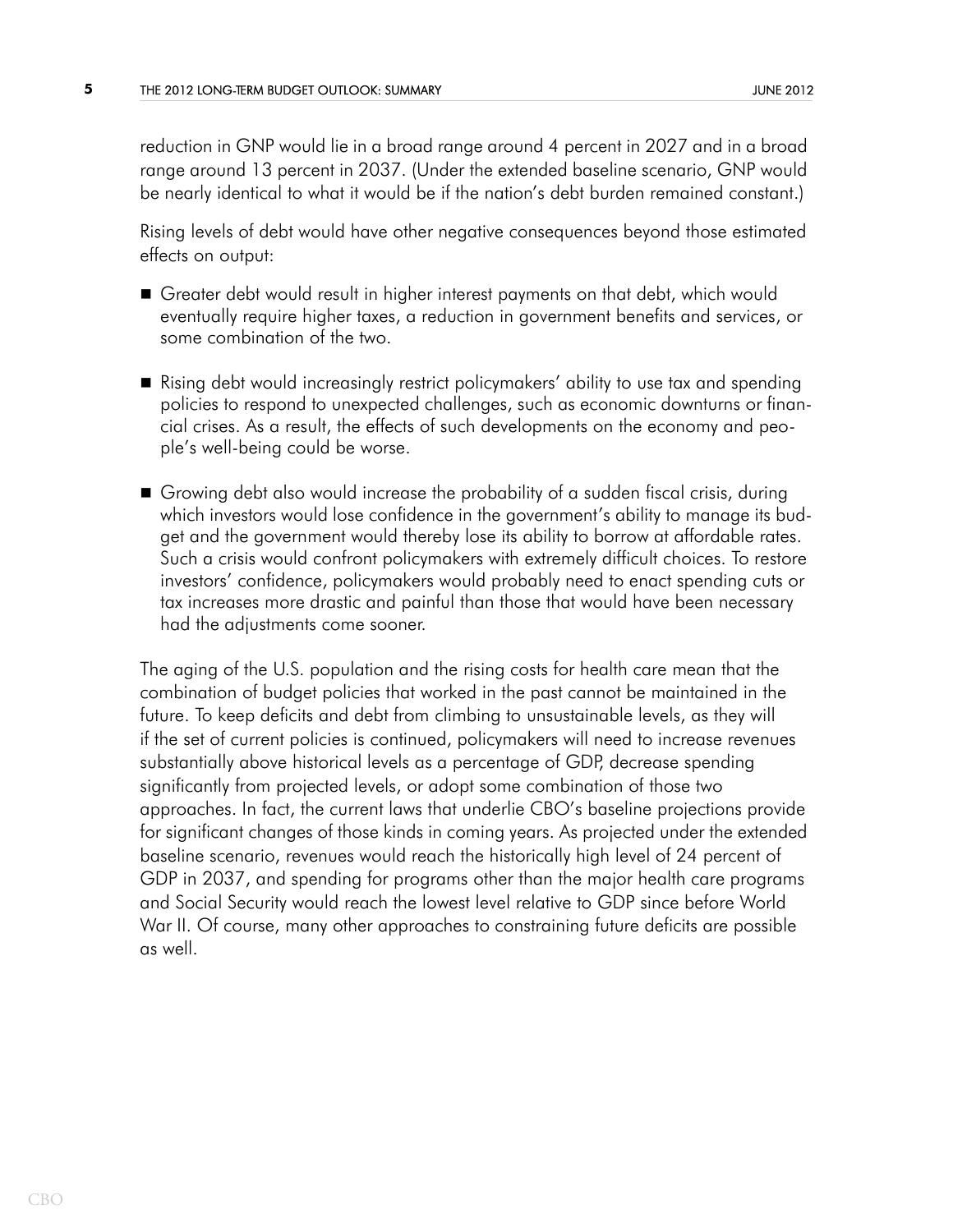reduction in GNP would lie in a broad range around 4 percent in 2027 and in a broad range around 13 percent in 2037. (Under the extended baseline scenario, GNP would be nearly identical to what it would be if the nation's debt burden remained constant.)

Rising levels of debt would have other negative consequences beyond those estimated effects on output:

- Greater debt would result in higher interest payments on that debt, which would eventually require higher taxes, a reduction in government benefits and services, or some combination of the two.
- Rising debt would increasingly restrict policymakers' ability to use tax and spending policies to respond to unexpected challenges, such as economic downturns or financial crises. As a result, the effects of such developments on the economy and people's well-being could be worse.
- Growing debt also would increase the probability of a sudden fiscal crisis, during which investors would lose confidence in the government's ability to manage its budget and the government would thereby lose its ability to borrow at affordable rates. Such a crisis would confront policymakers with extremely difficult choices. To restore investors' confidence, policymakers would probably need to enact spending cuts or tax increases more drastic and painful than those that would have been necessary had the adjustments come sooner.

The aging of the U.S. population and the rising costs for health care mean that the combination of budget policies that worked in the past cannot be maintained in the future. To keep deficits and debt from climbing to unsustainable levels, as they will if the set of current policies is continued, policymakers will need to increase revenues substantially above historical levels as a percentage of GDP, decrease spending significantly from projected levels, or adopt some combination of those two approaches. In fact, the current laws that underlie CBO's baseline projections provide for significant changes of those kinds in coming years. As projected under the extended baseline scenario, revenues would reach the historically high level of 24 percent of GDP in 2037, and spending for programs other than the major health care programs and Social Security would reach the lowest level relative to GDP since before World War II. Of course, many other approaches to constraining future deficits are possible as well.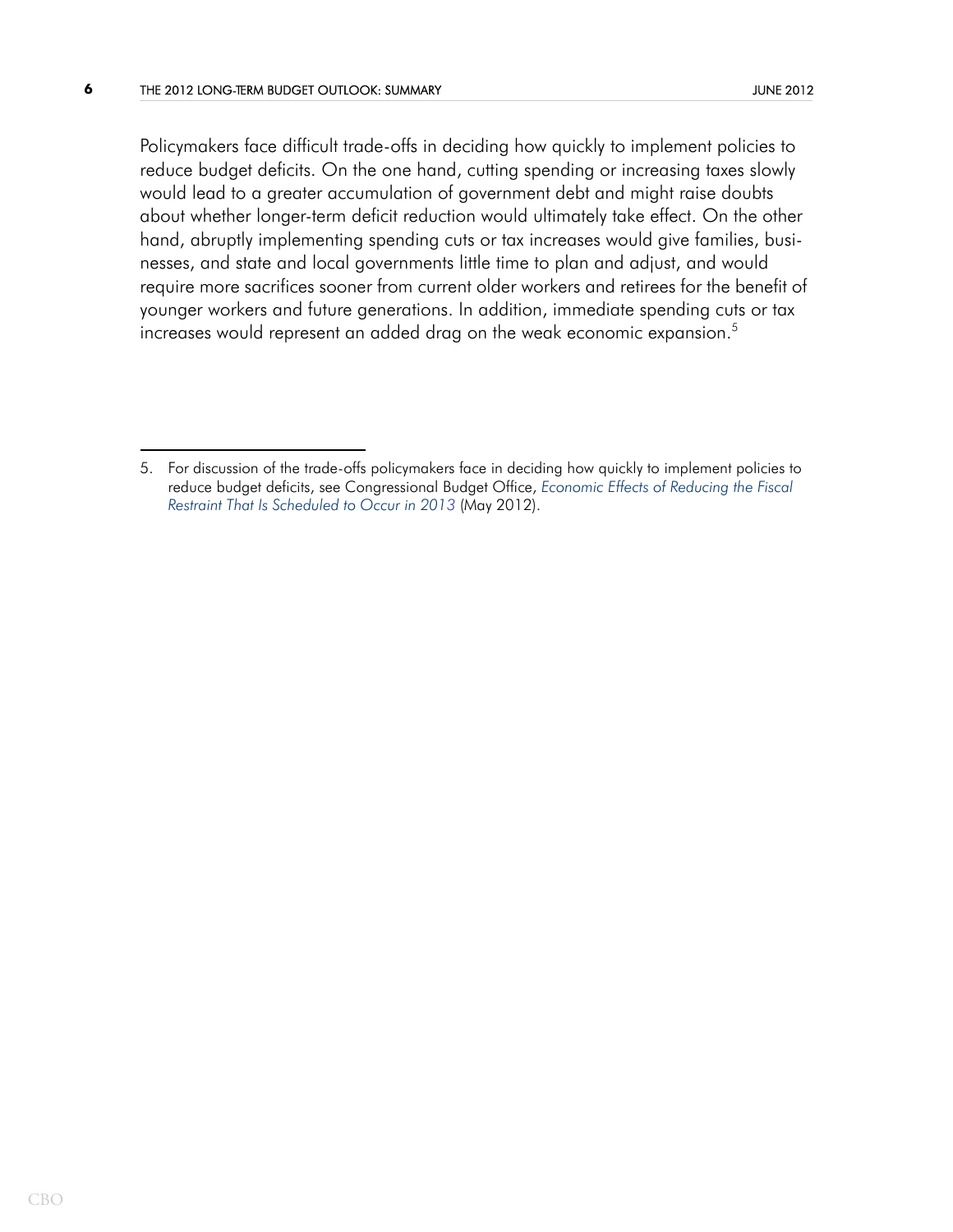Policymakers face difficult trade-offs in deciding how quickly to implement policies to reduce budget deficits. On the one hand, cutting spending or increasing taxes slowly would lead to a greater accumulation of government debt and might raise doubts about whether longer-term deficit reduction would ultimately take effect. On the other hand, abruptly implementing spending cuts or tax increases would give families, businesses, and state and local governments little time to plan and adjust, and would require more sacrifices sooner from current older workers and retirees for the benefit of younger workers and future generations. In addition, immediate spending cuts or tax increases would represent an added drag on the weak economic expansion.<sup>5</sup>

<sup>5.</sup> For discussion of the trade-offs policymakers face in deciding how quickly to implement policies to reduce budget deficits, see Congressional Budget Office, *[Economic Effects of Reducing the Fiscal](http://www.cbo.gov/publication/43262)  [Restraint That Is Scheduled to Occur in 201](http://www.cbo.gov/publication/43262)3* (May 2012).